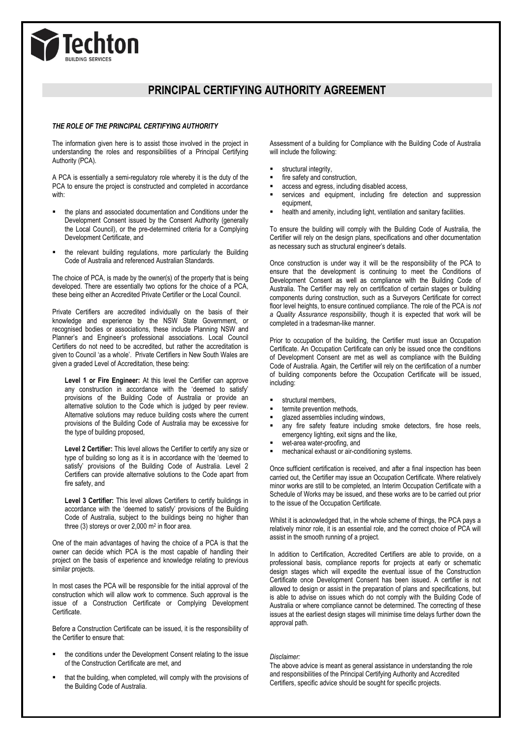

# **PRINCIPAL CERTIFYING AUTHORITY AGREEMENT**

#### *THE ROLE OF THE PRINCIPAL CERTIFYING AUTHORITY*

The information given here is to assist those involved in the project in understanding the roles and responsibilities of a Principal Certifying Authority (PCA).

A PCA is essentially a semi-regulatory role whereby it is the duty of the PCA to ensure the project is constructed and completed in accordance with:

- the plans and associated documentation and Conditions under the Development Consent issued by the Consent Authority (generally the Local Council), or the pre-determined criteria for a Complying Development Certificate, and
- the relevant building regulations, more particularly the Building Code of Australia and referenced Australian Standards.

The choice of PCA, is made by the owner(s) of the property that is being developed. There are essentially two options for the choice of a PCA, these being either an Accredited Private Certifier or the Local Council.

Private Certifiers are accredited individually on the basis of their knowledge and experience by the NSW State Government, or recognised bodies or associations, these include Planning NSW and Planner's and Engineer's professional associations. Local Council Certifiers do not need to be accredited, but rather the accreditation is given to Council 'as a whole'. Private Certifiers in New South Wales are given a graded Level of Accreditation, these being:

**Level 1 or Fire Engineer:** At this level the Certifier can approve any construction in accordance with the 'deemed to satisfy' provisions of the Building Code of Australia or provide an alternative solution to the Code which is judged by peer review. Alternative solutions may reduce building costs where the current provisions of the Building Code of Australia may be excessive for the type of building proposed,

Level 2 Certifier: This level allows the Certifier to certify any size or type of building so long as it is in accordance with the 'deemed to satisfy' provisions of the Building Code of Australia. Level 2 Certifiers can provide alternative solutions to the Code apart from fire safety, and

Level 3 Certifier: This level allows Certifiers to certify buildings in accordance with the 'deemed to satisfy' provisions of the Building Code of Australia, subject to the buildings being no higher than three (3) storeys or over 2,000 m<sup>2</sup> in floor area.

One of the main advantages of having the choice of a PCA is that the owner can decide which PCA is the most capable of handling their project on the basis of experience and knowledge relating to previous similar projects.

In most cases the PCA will be responsible for the initial approval of the construction which will allow work to commence. Such approval is the issue of a Construction Certificate or Complying Development Certificate.

Before a Construction Certificate can be issued, it is the responsibility of the Certifier to ensure that:

- the conditions under the Development Consent relating to the issue of the Construction Certificate are met, and
- that the building, when completed, will comply with the provisions of the Building Code of Australia.

comply with the pre-determined conditions of Complying Development

Assessment of a building for Compliance with the Building Code of Australia will include the following:

- structural integrity,
- fire safety and construction,
- access and egress, including disabled access,
- services and equipment, including fire detection and suppression equipment,
- health and amenity, including light, ventilation and sanitary facilities.

To ensure the building will comply with the Building Code of Australia, the Certifier will rely on the design plans, specifications and other documentation as necessary such as structural engineer's details.

Once construction is under way it will be the responsibility of the PCA to ensure that the development is continuing to meet the Conditions of Development Consent as well as compliance with the Building Code of Australia. The Certifier may rely on certification of certain stages or building components during construction, such as a Surveyors Certificate for correct floor level heights, to ensure continued compliance. The role of the PCA is *not a Quality Assurance responsibility*, though it is expected that work will be completed in a tradesman-like manner.

Prior to occupation of the building, the Certifier must issue an Occupation Certificate. An Occupation Certificate can only be issued once the conditions of Development Consent are met as well as compliance with the Building Code of Australia. Again, the Certifier will rely on the certification of a number of building components before the Occupation Certificate will be issued, including:

- structural members,
- termite prevention methods,
- glazed assemblies including windows,
- any fire safety feature including smoke detectors, fire hose reels, emergency lighting, exit signs and the like,
- wet-area water-proofing, and
- mechanical exhaust or air-conditioning systems.

Once sufficient certification is received, and after a final inspection has been carried out, the Certifier may issue an Occupation Certificate. Where relatively minor works are still to be completed, an Interim Occupation Certificate with a Schedule of Works may be issued, and these works are to be carried out prior to the issue of the Occupation Certificate.

Whilst it is acknowledged that, in the whole scheme of things, the PCA pays a relatively minor role, it is an essential role, and the correct choice of PCA will assist in the smooth running of a project.

In addition to Certification, Accredited Certifiers are able to provide, on a professional basis, compliance reports for projects at early or schematic design stages which will expedite the eventual issue of the Construction Certificate once Development Consent has been issued. A certifier is not allowed to design or assist in the preparation of plans and specifications, but is able to advise on issues which do not comply with the Building Code of Australia or where compliance cannot be determined. The correcting of these issues at the earliest design stages will minimise time delays further down the approval path.

#### *Disclaimer:*

The above advice is meant as general assistance in understanding the role and responsibilities of the Principal Certifying Authority and Accredited Certifiers, specific advice should be sought for specific projects.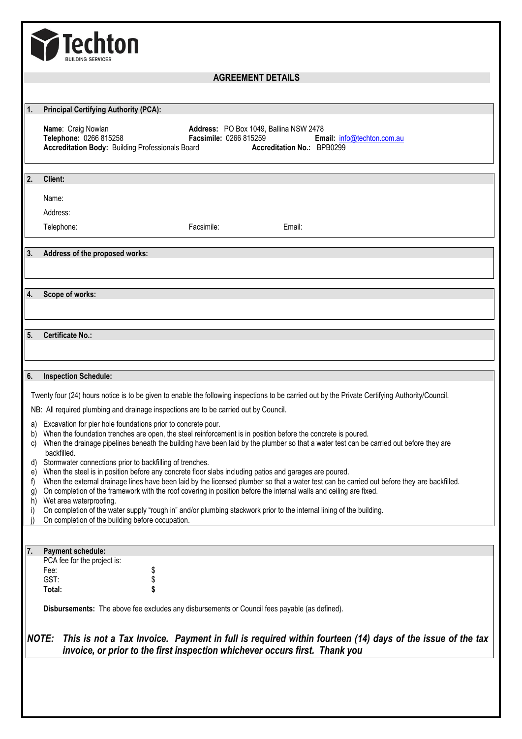

## **AGREEMENT DETAILS**

| 1.                                                                                                                                              | <b>Principal Certifying Authority (PCA):</b>                                                                                                                                                                                                          |  |  |
|-------------------------------------------------------------------------------------------------------------------------------------------------|-------------------------------------------------------------------------------------------------------------------------------------------------------------------------------------------------------------------------------------------------------|--|--|
|                                                                                                                                                 | Name: Craig Nowlan<br>Address: PO Box 1049, Ballina NSW 2478                                                                                                                                                                                          |  |  |
|                                                                                                                                                 | Telephone: 0266 815258<br><b>Facsimile: 0266 815259</b><br>Email: info@techton.com.au<br><b>Accreditation Body: Building Professionals Board</b><br>Accreditation No.: BPB0299                                                                        |  |  |
|                                                                                                                                                 |                                                                                                                                                                                                                                                       |  |  |
|                                                                                                                                                 |                                                                                                                                                                                                                                                       |  |  |
| $\overline{2}$ .                                                                                                                                | Client:                                                                                                                                                                                                                                               |  |  |
|                                                                                                                                                 | Name:                                                                                                                                                                                                                                                 |  |  |
|                                                                                                                                                 | Address:                                                                                                                                                                                                                                              |  |  |
|                                                                                                                                                 | Telephone:<br>Facsimile:<br>Email:                                                                                                                                                                                                                    |  |  |
|                                                                                                                                                 |                                                                                                                                                                                                                                                       |  |  |
| 3.                                                                                                                                              | Address of the proposed works:                                                                                                                                                                                                                        |  |  |
|                                                                                                                                                 |                                                                                                                                                                                                                                                       |  |  |
| 4.                                                                                                                                              | Scope of works:                                                                                                                                                                                                                                       |  |  |
|                                                                                                                                                 |                                                                                                                                                                                                                                                       |  |  |
|                                                                                                                                                 |                                                                                                                                                                                                                                                       |  |  |
| 5 <sub>1</sub>                                                                                                                                  | <b>Certificate No.:</b>                                                                                                                                                                                                                               |  |  |
|                                                                                                                                                 |                                                                                                                                                                                                                                                       |  |  |
|                                                                                                                                                 |                                                                                                                                                                                                                                                       |  |  |
| 6.                                                                                                                                              | <b>Inspection Schedule:</b>                                                                                                                                                                                                                           |  |  |
| Twenty four (24) hours notice is to be given to enable the following inspections to be carried out by the Private Certifying Authority/Council. |                                                                                                                                                                                                                                                       |  |  |
| NB: All required plumbing and drainage inspections are to be carried out by Council.                                                            |                                                                                                                                                                                                                                                       |  |  |
| a)                                                                                                                                              | Excavation for pier hole foundations prior to concrete pour.                                                                                                                                                                                          |  |  |
| b)                                                                                                                                              | When the foundation trenches are open, the steel reinforcement is in position before the concrete is poured.                                                                                                                                          |  |  |
| C)                                                                                                                                              | When the drainage pipelines beneath the building have been laid by the plumber so that a water test can be carried out before they are<br>backfilled.                                                                                                 |  |  |
| d)                                                                                                                                              | Stormwater connections prior to backfilling of trenches.                                                                                                                                                                                              |  |  |
| e)<br>f)                                                                                                                                        | When the steel is in position before any concrete floor slabs including patios and garages are poured.<br>When the external drainage lines have been laid by the licensed plumber so that a water test can be carried out before they are backfilled. |  |  |
| g)                                                                                                                                              | On completion of the framework with the roof covering in position before the internal walls and ceiling are fixed.                                                                                                                                    |  |  |
| h)<br>i)                                                                                                                                        | Wet area waterproofing.<br>On completion of the water supply "rough in" and/or plumbing stackwork prior to the internal lining of the building.                                                                                                       |  |  |
|                                                                                                                                                 | On completion of the building before occupation.                                                                                                                                                                                                      |  |  |
|                                                                                                                                                 |                                                                                                                                                                                                                                                       |  |  |
| 7.                                                                                                                                              | Payment schedule:                                                                                                                                                                                                                                     |  |  |
|                                                                                                                                                 | PCA fee for the project is:<br>Fee:                                                                                                                                                                                                                   |  |  |
|                                                                                                                                                 | \$<br>GST:                                                                                                                                                                                                                                            |  |  |
|                                                                                                                                                 | \$<br>\$<br>Total:                                                                                                                                                                                                                                    |  |  |
|                                                                                                                                                 | Disbursements: The above fee excludes any disbursements or Council fees payable (as defined).                                                                                                                                                         |  |  |
|                                                                                                                                                 |                                                                                                                                                                                                                                                       |  |  |
| <b>NOTE:</b><br>This is not a Tax Invoice. Payment in full is required within fourteen (14) days of the issue of the tax                        |                                                                                                                                                                                                                                                       |  |  |
| invoice, or prior to the first inspection whichever occurs first. Thank you                                                                     |                                                                                                                                                                                                                                                       |  |  |
|                                                                                                                                                 |                                                                                                                                                                                                                                                       |  |  |
|                                                                                                                                                 |                                                                                                                                                                                                                                                       |  |  |
|                                                                                                                                                 |                                                                                                                                                                                                                                                       |  |  |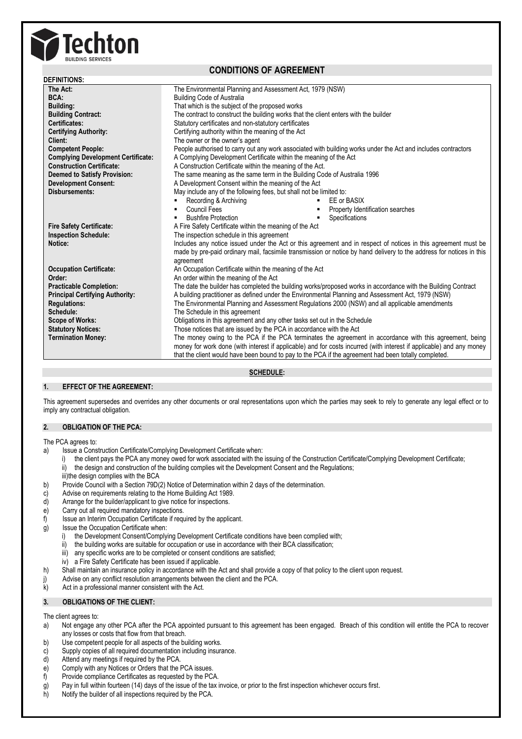

## **CONDITIONS OF AGREEMENT**

| <b>DEFINITIONS:</b>                       |                                                                                                                      |  |
|-------------------------------------------|----------------------------------------------------------------------------------------------------------------------|--|
| The Act:                                  | The Environmental Planning and Assessment Act, 1979 (NSW)                                                            |  |
| BCA:                                      | <b>Building Code of Australia</b>                                                                                    |  |
| <b>Building:</b>                          | That which is the subject of the proposed works                                                                      |  |
| <b>Building Contract:</b>                 | The contract to construct the building works that the client enters with the builder                                 |  |
| Certificates:                             | Statutory certificates and non-statutory certificates                                                                |  |
| <b>Certifying Authority:</b>              | Certifying authority within the meaning of the Act                                                                   |  |
| Client:                                   | The owner or the owner's agent                                                                                       |  |
| <b>Competent People:</b>                  | People authorised to carry out any work associated with building works under the Act and includes contractors        |  |
| <b>Complying Development Certificate:</b> | A Complying Development Certificate within the meaning of the Act                                                    |  |
| <b>Construction Certificate:</b>          | A Construction Certificate within the meaning of the Act.                                                            |  |
| <b>Deemed to Satisfy Provision:</b>       | The same meaning as the same term in the Building Code of Australia 1996                                             |  |
| <b>Development Consent:</b>               | A Development Consent within the meaning of the Act                                                                  |  |
| Disbursements:                            | May include any of the following fees, but shall not be limited to:                                                  |  |
|                                           | Recording & Archiving<br>EE or BASIX                                                                                 |  |
|                                           | Council Fees<br>Property Identification searches<br>٠                                                                |  |
|                                           | Specifications<br><b>Bushfire Protection</b><br>٠                                                                    |  |
| <b>Fire Safety Certificate:</b>           | A Fire Safety Certificate within the meaning of the Act                                                              |  |
| <b>Inspection Schedule:</b>               | The inspection schedule in this agreement                                                                            |  |
| Notice:                                   | Includes any notice issued under the Act or this agreement and in respect of notices in this agreement must be       |  |
|                                           | made by pre-paid ordinary mail, facsimile transmission or notice by hand delivery to the address for notices in this |  |
|                                           | agreement                                                                                                            |  |
| <b>Occupation Certificate:</b>            | An Occupation Certificate within the meaning of the Act                                                              |  |
| Order:                                    | An order within the meaning of the Act                                                                               |  |
| <b>Practicable Completion:</b>            | The date the builder has completed the building works/proposed works in accordance with the Building Contract        |  |
| <b>Principal Certifying Authority:</b>    | A building practitioner as defined under the Environmental Planning and Assessment Act, 1979 (NSW)                   |  |
| <b>Regulations:</b>                       | The Environmental Planning and Assessment Regulations 2000 (NSW) and all applicable amendments                       |  |
| Schedule:                                 | The Schedule in this agreement                                                                                       |  |
| <b>Scope of Works:</b>                    | Obligations in this agreement and any other tasks set out in the Schedule                                            |  |
| <b>Statutory Notices:</b>                 | Those notices that are issued by the PCA in accordance with the Act                                                  |  |
| <b>Termination Money:</b>                 | The money owing to the PCA if the PCA terminates the agreement in accordance with this agreement, being              |  |
|                                           | money for work done (with interest if applicable) and for costs incurred (with interest if applicable) and any money |  |
|                                           | that the client would have been bound to pay to the PCA if the agreement had been totally completed.                 |  |

**SCHEDULE:**

#### **1. EFFECT OF THE AGREEMENT:**

This agreement supersedes and overrides any other documents or oral representations upon which the parties may seek to rely to generate any legal effect or to imply any contractual obligation.

## **2. OBLIGATION OF THE PCA:**

The PCA agrees to:

- a) Issue a Construction Certificate/Complying Development Certificate when:
	- i) the client pays the PCA any money owed for work associated with the issuing of the Construction Certificate/Complying Development Certificate:
	- the design and construction of the building complies wit the Development Consent and the Regulations;
	- iii)the design complies with the BCA
- b) Provide Council with a Section 79D(2) Notice of Determination within 2 days of the determination.
- c) Advise on requirements relating to the Home Building Act 1989.
- d) Arrange for the builder/applicant to give notice for inspections.
- e) Carry out all required mandatory inspections.
- f) Issue an Interim Occupation Certificate if required by the applicant.
- g) Issue the Occupation Certificate when:
	- i) the Development Consent/Complying Development Certificate conditions have been complied with;
	- ii) the building works are suitable for occupation or use in accordance with their BCA classification;
	- iii) any specific works are to be completed or consent conditions are satisfied;
		- iv) a Fire Safety Certificate has been issued if applicable.
- h) Shall maintain an insurance policy in accordance with the Act and shall provide a copy of that policy to the client upon request.
- j) Advise on any conflict resolution arrangements between the client and the PCA.
- k) Act in a professional manner consistent with the Act.

## **3. OBLIGATIONS OF THE CLIENT:**

The client agrees to:

- a) Not engage any other PCA after the PCA appointed pursuant to this agreement has been engaged. Breach of this condition will entitle the PCA to recover any losses or costs that flow from that breach.
- b) Use competent people for all aspects of the building works.
- c) Supply copies of all required documentation including insurance.
- d) Attend any meetings if required by the PCA.
- e) Comply with any Notices or Orders that the PCA issues.
- f) Provide compliance Certificates as requested by the PCA.
- g) Pay in full within fourteen (14) days of the issue of the tax invoice, or prior to the first inspection whichever occurs first.
- h) Notify the builder of all inspections required by the PCA.